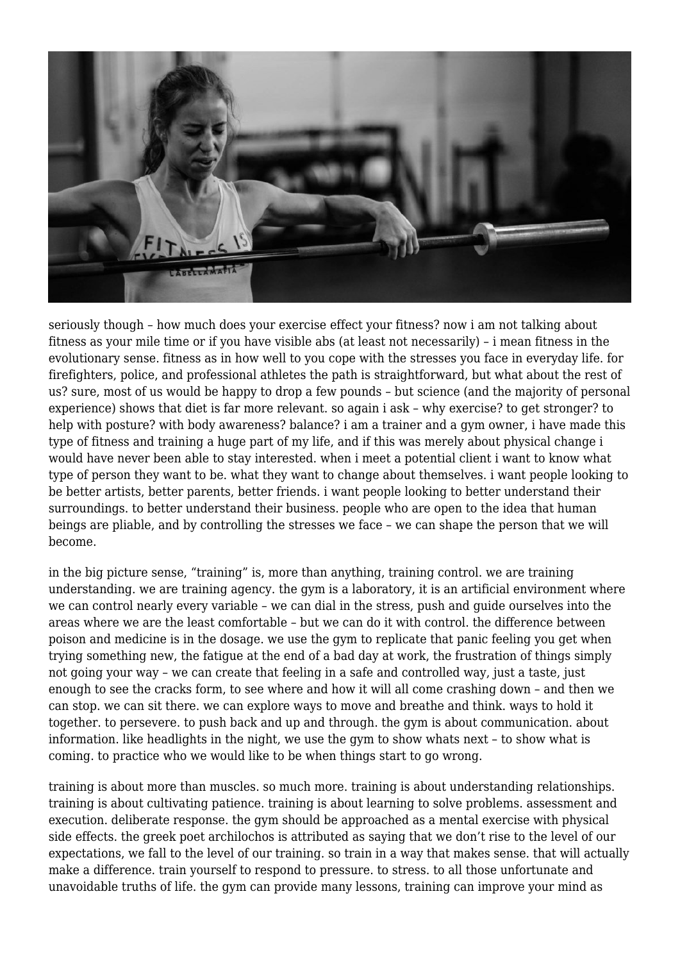

seriously though – how much does your exercise effect your fitness? now i am not talking about fitness as your mile time or if you have visible abs (at least not necessarily) – i mean fitness in the evolutionary sense. fitness as in how well to you cope with the stresses you face in everyday life. for firefighters, police, and professional athletes the path is straightforward, but what about the rest of us? sure, most of us would be happy to drop a few pounds – but science (and the majority of personal experience) shows that diet is far more relevant. so again i ask – why exercise? to get stronger? to help with posture? with body awareness? balance? i am a trainer and a gym owner, i have made this type of fitness and training a huge part of my life, and if this was merely about physical change i would have never been able to stay interested. when i meet a potential client i want to know what type of person they want to be. what they want to change about themselves. i want people looking to be better artists, better parents, better friends. i want people looking to better understand their surroundings. to better understand their business. people who are open to the idea that human beings are pliable, and by controlling the stresses we face – we can shape the person that we will become.

in the big picture sense, "training" is, more than anything, training control. we are training understanding. we are training agency. the gym is a laboratory, it is an artificial environment where we can control nearly every variable – we can dial in the stress, push and guide ourselves into the areas where we are the least comfortable – but we can do it with control. the difference between poison and medicine is in the dosage. we use the gym to replicate that panic feeling you get when trying something new, the fatigue at the end of a bad day at work, the frustration of things simply not going your way – we can create that feeling in a safe and controlled way, just a taste, just enough to see the cracks form, to see where and how it will all come crashing down – and then we can stop. we can sit there. we can explore ways to move and breathe and think. ways to hold it together. to persevere. to push back and up and through. the gym is about communication. about information. like headlights in the night, we use the gym to show whats next – to show what is coming. to practice who we would like to be when things start to go wrong.

training is about more than muscles. so much more. training is about understanding relationships. training is about cultivating patience. training is about learning to solve problems. assessment and execution. deliberate response. the gym should be approached as a mental exercise with physical side effects. the greek poet archilochos is attributed as saying that we don't rise to the level of our expectations, we fall to the level of our training. so train in a way that makes sense. that will actually make a difference. train yourself to respond to pressure. to stress. to all those unfortunate and unavoidable truths of life. the gym can provide many lessons, training can improve your mind as